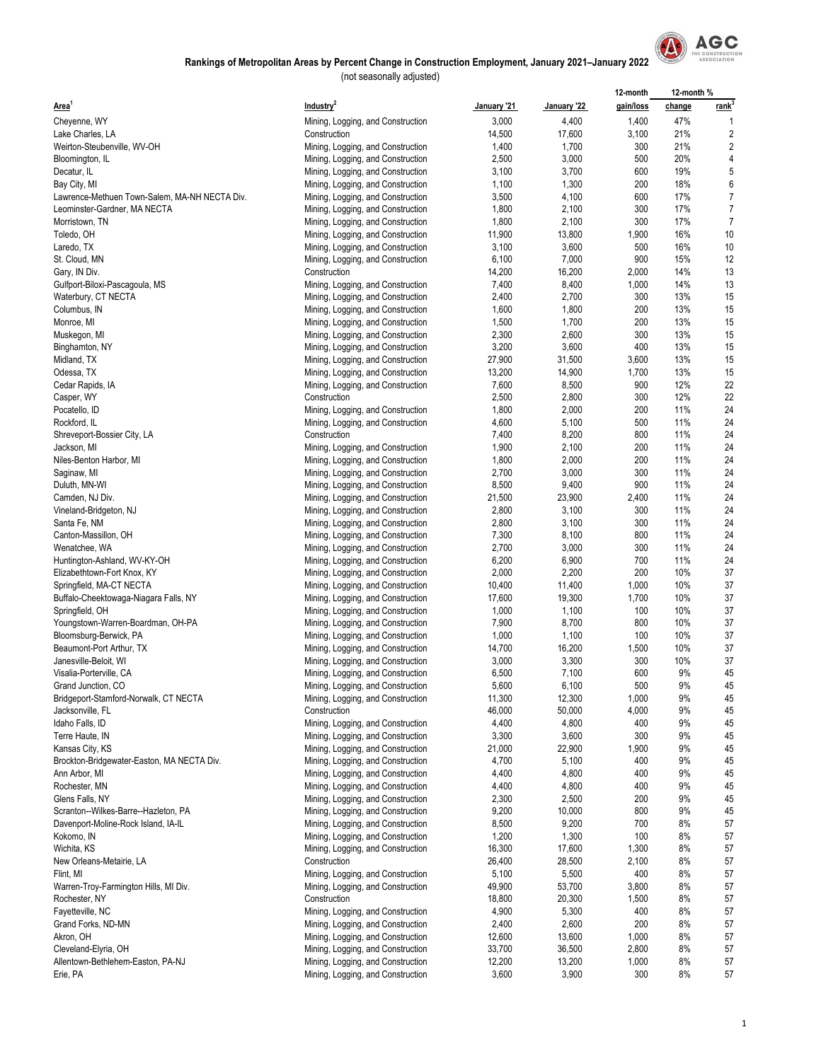

|                                                           |                                                                        |                  |                  | 12-month       | 12-month % |                |
|-----------------------------------------------------------|------------------------------------------------------------------------|------------------|------------------|----------------|------------|----------------|
| Area <sup>1</sup>                                         | Industry <sup>2</sup>                                                  | January '21      | January '22      | gain/loss      | change     | <u>rank</u>    |
| Cheyenne, WY                                              | Mining, Logging, and Construction                                      | 3,000            | 4,400            | 1,400          | 47%        |                |
| Lake Charles, LA                                          | Construction                                                           | 14,500           | 17,600           | 3,100          | 21%        | 2              |
| Weirton-Steubenville, WV-OH                               | Mining, Logging, and Construction                                      | 1,400            | 1,700            | 300            | 21%        | $\overline{c}$ |
| Bloomington, IL                                           | Mining, Logging, and Construction                                      | 2,500            | 3,000            | 500            | 20%        | 4              |
| Decatur, IL                                               | Mining, Logging, and Construction                                      | 3,100            | 3,700            | 600            | 19%        | 5              |
| Bay City, MI                                              | Mining, Logging, and Construction                                      | 1,100            | 1,300            | 200            | 18%        | 6              |
| Lawrence-Methuen Town-Salem, MA-NH NECTA Div.             | Mining, Logging, and Construction                                      | 3,500            | 4,100            | 600            | 17%        | $\overline{7}$ |
| Leominster-Gardner, MA NECTA                              | Mining, Logging, and Construction                                      | 1,800            | 2,100            | 300            | 17%        | $\overline{7}$ |
| Morristown, TN                                            | Mining, Logging, and Construction                                      | 1,800            | 2,100            | 300            | 17%        | $\overline{7}$ |
| Toledo, OH                                                | Mining, Logging, and Construction                                      | 11,900           | 13,800           | 1,900          | 16%        | 10             |
| Laredo, TX                                                | Mining, Logging, and Construction                                      | 3,100            | 3,600            | 500            | 16%        | 10             |
| St. Cloud, MN                                             | Mining, Logging, and Construction                                      | 6,100            | 7,000            | 900            | 15%        | 12             |
| Gary, IN Div.                                             | Construction                                                           | 14,200           | 16,200           | 2,000          | 14%        | 13             |
| Gulfport-Biloxi-Pascagoula, MS                            | Mining, Logging, and Construction                                      | 7,400            | 8,400            | 1,000          | 14%        | 13             |
| Waterbury, CT NECTA                                       | Mining, Logging, and Construction                                      | 2,400            | 2,700            | 300            | 13%        | 15             |
| Columbus, IN                                              | Mining, Logging, and Construction                                      | 1,600            | 1,800            | 200            | 13%        | 15             |
| Monroe, MI                                                | Mining, Logging, and Construction                                      | 1,500            | 1,700            | 200            | 13%        | 15             |
| Muskegon, MI                                              | Mining, Logging, and Construction                                      | 2,300<br>3,200   | 2,600<br>3,600   | 300<br>400     | 13%<br>13% | 15<br>15       |
| Binghamton, NY<br>Midland, TX                             | Mining, Logging, and Construction                                      | 27,900           | 31,500           | 3,600          | 13%        | 15             |
| Odessa, TX                                                | Mining, Logging, and Construction<br>Mining, Logging, and Construction | 13,200           | 14,900           | 1,700          | 13%        | 15             |
| Cedar Rapids, IA                                          | Mining, Logging, and Construction                                      | 7,600            | 8,500            | 900            | 12%        | 22             |
| Casper, WY                                                | Construction                                                           | 2,500            | 2,800            | 300            | 12%        | 22             |
| Pocatello, ID                                             | Mining, Logging, and Construction                                      | 1,800            | 2,000            | 200            | 11%        | 24             |
| Rockford, IL                                              | Mining, Logging, and Construction                                      | 4,600            | 5,100            | 500            | 11%        | 24             |
| Shreveport-Bossier City, LA                               | Construction                                                           | 7,400            | 8,200            | 800            | 11%        | 24             |
| Jackson, MI                                               | Mining, Logging, and Construction                                      | 1,900            | 2,100            | 200            | 11%        | 24             |
| Niles-Benton Harbor, MI                                   | Mining, Logging, and Construction                                      | 1,800            | 2,000            | 200            | 11%        | 24             |
| Saginaw, MI                                               | Mining, Logging, and Construction                                      | 2,700            | 3,000            | 300            | 11%        | 24             |
| Duluth, MN-WI                                             | Mining, Logging, and Construction                                      | 8,500            | 9,400            | 900            | 11%        | 24             |
| Camden, NJ Div.                                           | Mining, Logging, and Construction                                      | 21,500           | 23,900           | 2,400          | 11%        | 24             |
| Vineland-Bridgeton, NJ                                    | Mining, Logging, and Construction                                      | 2,800            | 3,100            | 300            | 11%        | 24             |
| Santa Fe, NM                                              | Mining, Logging, and Construction                                      | 2,800            | 3,100            | 300            | 11%        | 24             |
| Canton-Massillon, OH                                      | Mining, Logging, and Construction                                      | 7,300            | 8,100            | 800            | 11%        | 24             |
| Wenatchee, WA                                             | Mining, Logging, and Construction                                      | 2,700            | 3,000            | 300            | 11%        | 24             |
| Huntington-Ashland, WV-KY-OH                              | Mining, Logging, and Construction                                      | 6,200            | 6,900            | 700            | 11%        | 24             |
| Elizabethtown-Fort Knox, KY                               | Mining, Logging, and Construction                                      | 2,000            | 2,200            | 200            | 10%        | 37             |
| Springfield, MA-CT NECTA                                  | Mining, Logging, and Construction                                      | 10,400           | 11,400           | 1,000          | 10%        | 37             |
| Buffalo-Cheektowaga-Niagara Falls, NY                     | Mining, Logging, and Construction                                      | 17,600           | 19,300           | 1,700          | 10%        | 37             |
| Springfield, OH                                           | Mining, Logging, and Construction                                      | 1,000            | 1,100            | 100            | 10%        | 37             |
| Youngstown-Warren-Boardman, OH-PA                         | Mining, Logging, and Construction                                      | 7,900            | 8,700            | 800            | 10%        | 37             |
| Bloomsburg-Berwick, PA                                    | Mining, Logging, and Construction                                      | 1,000            | 1,100            | 100            | 10%        | 37             |
| Beaumont-Port Arthur, TX                                  | Mining, Logging, and Construction                                      | 14,700           | 16,200           | 1,500          | 10%        | 37             |
| Janesville-Beloit, WI                                     | Mining, Logging, and Construction                                      | 3,000            | 3,300            | 300            | 10%        | 37             |
| Visalia-Porterville, CA                                   | Mining, Logging, and Construction                                      | 6,500            | 7,100            | 600            | 9%         | 45             |
| Grand Junction, CO                                        | Mining, Logging, and Construction                                      | 5,600            | 6,100            | 500            | 9%         | 45             |
| Bridgeport-Stamford-Norwalk, CT NECTA<br>Jacksonville, FL | Mining, Logging, and Construction<br>Construction                      | 11,300<br>46,000 | 12,300<br>50,000 | 1,000<br>4,000 | 9%<br>9%   | 45<br>45       |
| Idaho Falls, ID                                           | Mining, Logging, and Construction                                      | 4,400            | 4,800            | 400            | 9%         | 45             |
| Terre Haute, IN                                           | Mining, Logging, and Construction                                      | 3,300            | 3,600            | 300            | 9%         | 45             |
| Kansas City, KS                                           | Mining, Logging, and Construction                                      | 21,000           | 22,900           | 1,900          | 9%         | 45             |
| Brockton-Bridgewater-Easton, MA NECTA Div.                | Mining, Logging, and Construction                                      | 4,700            | 5,100            | 400            | 9%         | 45             |
| Ann Arbor, MI                                             | Mining, Logging, and Construction                                      | 4,400            | 4,800            | 400            | 9%         | 45             |
| Rochester, MN                                             | Mining, Logging, and Construction                                      | 4,400            | 4,800            | 400            | 9%         | 45             |
| Glens Falls, NY                                           | Mining, Logging, and Construction                                      | 2,300            | 2,500            | 200            | 9%         | 45             |
| Scranton--Wilkes-Barre--Hazleton, PA                      | Mining, Logging, and Construction                                      | 9,200            | 10,000           | 800            | 9%         | 45             |
| Davenport-Moline-Rock Island, IA-IL                       | Mining, Logging, and Construction                                      | 8,500            | 9,200            | 700            | 8%         | 57             |
| Kokomo, IN                                                | Mining, Logging, and Construction                                      | 1,200            | 1,300            | 100            | 8%         | 57             |
| Wichita, KS                                               | Mining, Logging, and Construction                                      | 16,300           | 17,600           | 1,300          | 8%         | 57             |
| New Orleans-Metairie, LA                                  | Construction                                                           | 26,400           | 28,500           | 2,100          | 8%         | 57             |
| Flint, MI                                                 | Mining, Logging, and Construction                                      | 5,100            | 5,500            | 400            | 8%         | 57             |
| Warren-Troy-Farmington Hills, MI Div.                     | Mining, Logging, and Construction                                      | 49,900           | 53,700           | 3,800          | 8%         | 57             |
| Rochester, NY                                             | Construction                                                           | 18,800           | 20,300           | 1,500          | 8%         | 57             |
| Fayetteville, NC                                          | Mining, Logging, and Construction                                      | 4,900            | 5,300            | 400            | 8%         | 57             |
| Grand Forks, ND-MN                                        | Mining, Logging, and Construction                                      | 2,400            | 2,600            | 200            | 8%         | 57             |
| Akron, OH                                                 | Mining, Logging, and Construction                                      | 12,600           | 13,600           | 1,000          | 8%         | 57             |
| Cleveland-Elyria, OH                                      | Mining, Logging, and Construction                                      | 33,700           | 36,500           | 2,800          | 8%         | 57             |
| Allentown-Bethlehem-Easton, PA-NJ                         | Mining, Logging, and Construction                                      | 12,200           | 13,200           | 1,000          | 8%         | 57             |
| Erie, PA                                                  | Mining, Logging, and Construction                                      | 3,600            | 3,900            | 300            | 8%         | 57             |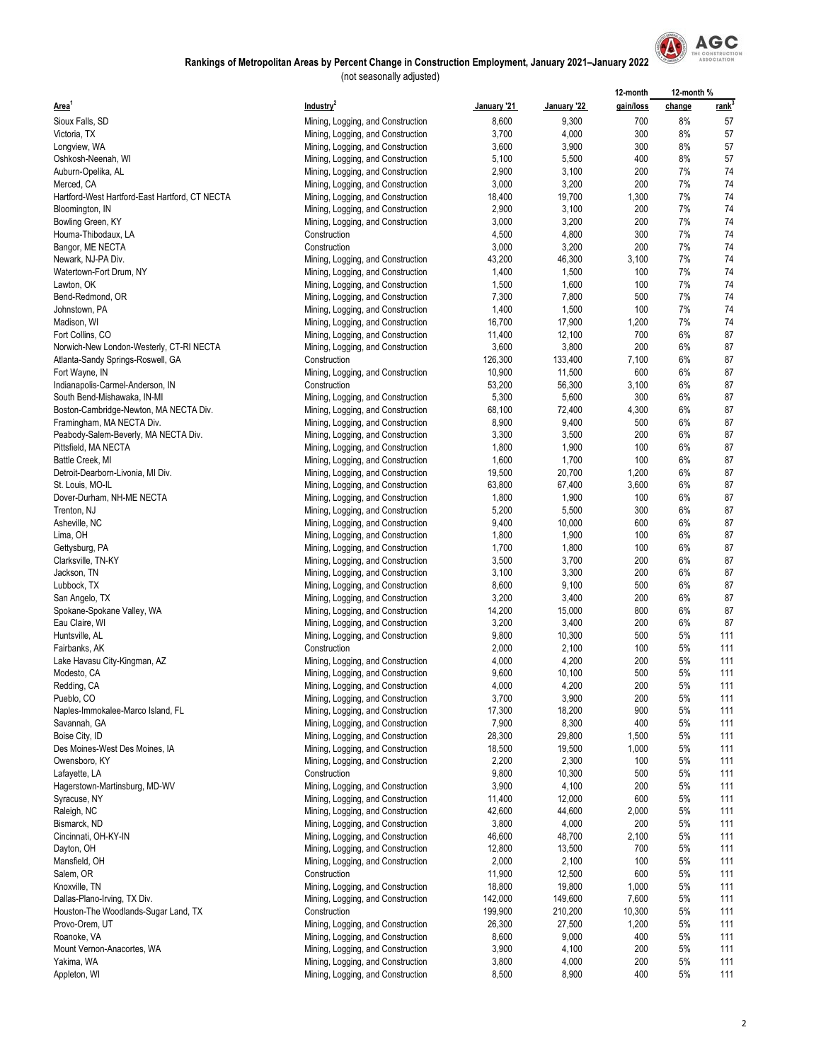

|                                                |                                   |             |             | 12-month  | 12-month % |                   |
|------------------------------------------------|-----------------------------------|-------------|-------------|-----------|------------|-------------------|
| Area <sup>1</sup>                              | Industry <sup>2</sup>             | January '21 | January '22 | gain/loss | change     | rank <sup>3</sup> |
| Sioux Falls, SD                                | Mining, Logging, and Construction | 8,600       | 9,300       | 700       | 8%         | 57                |
| Victoria, TX                                   | Mining, Logging, and Construction | 3,700       | 4,000       | 300       | 8%         | 57                |
|                                                |                                   | 3,600       | 3,900       | 300       | 8%         | 57                |
| Longview, WA                                   | Mining, Logging, and Construction |             |             |           |            |                   |
| Oshkosh-Neenah, WI                             | Mining, Logging, and Construction | 5,100       | 5,500       | 400       | 8%         | 57                |
| Auburn-Opelika, AL                             | Mining, Logging, and Construction | 2,900       | 3,100       | 200       | 7%         | 74                |
| Merced, CA                                     | Mining, Logging, and Construction | 3,000       | 3,200       | 200       | 7%         | 74                |
| Hartford-West Hartford-East Hartford, CT NECTA | Mining, Logging, and Construction | 18,400      | 19,700      | 1,300     | 7%         | 74                |
| Bloomington, IN                                | Mining, Logging, and Construction | 2,900       | 3,100       | 200       | 7%         | 74                |
| Bowling Green, KY                              | Mining, Logging, and Construction | 3,000       | 3,200       | 200       | 7%         | 74                |
| Houma-Thibodaux, LA                            | Construction                      | 4,500       | 4,800       | 300       | 7%         | 74                |
| Bangor, ME NECTA                               | Construction                      | 3,000       | 3,200       | 200       | 7%         | 74                |
| Newark, NJ-PA Div.                             | Mining, Logging, and Construction | 43,200      | 46,300      | 3,100     | 7%         | 74                |
| Watertown-Fort Drum, NY                        | Mining, Logging, and Construction | 1,400       | 1,500       | 100       | 7%         | 74                |
| Lawton, OK                                     | Mining, Logging, and Construction | 1,500       | 1,600       | 100       | 7%         | 74                |
|                                                |                                   | 7,300       | 7,800       | 500       | 7%         | 74                |
| Bend-Redmond, OR                               | Mining, Logging, and Construction |             |             |           |            |                   |
| Johnstown, PA                                  | Mining, Logging, and Construction | 1,400       | 1,500       | 100       | 7%         | 74                |
| Madison, WI                                    | Mining, Logging, and Construction | 16,700      | 17,900      | 1,200     | 7%         | 74                |
| Fort Collins, CO                               | Mining, Logging, and Construction | 11,400      | 12,100      | 700       | 6%         | 87                |
| Norwich-New London-Westerly, CT-RI NECTA       | Mining, Logging, and Construction | 3,600       | 3,800       | 200       | 6%         | 87                |
| Atlanta-Sandy Springs-Roswell, GA              | Construction                      | 126,300     | 133,400     | 7,100     | 6%         | 87                |
| Fort Wayne, IN                                 | Mining, Logging, and Construction | 10,900      | 11,500      | 600       | 6%         | 87                |
| Indianapolis-Carmel-Anderson, IN               | Construction                      | 53,200      | 56,300      | 3,100     | 6%         | 87                |
| South Bend-Mishawaka, IN-MI                    | Mining, Logging, and Construction | 5,300       | 5,600       | 300       | 6%         | 87                |
| Boston-Cambridge-Newton, MA NECTA Div.         | Mining, Logging, and Construction | 68,100      | 72,400      | 4,300     | 6%         | 87                |
| Framingham, MA NECTA Div.                      | Mining, Logging, and Construction | 8,900       | 9,400       | 500       | 6%         | 87                |
|                                                |                                   |             |             |           | 6%         | 87                |
| Peabody-Salem-Beverly, MA NECTA Div.           | Mining, Logging, and Construction | 3,300       | 3,500       | 200       |            |                   |
| Pittsfield, MA NECTA                           | Mining, Logging, and Construction | 1,800       | 1,900       | 100       | 6%         | 87                |
| Battle Creek, MI                               | Mining, Logging, and Construction | 1,600       | 1,700       | 100       | 6%         | 87                |
| Detroit-Dearborn-Livonia, MI Div.              | Mining, Logging, and Construction | 19,500      | 20,700      | 1,200     | 6%         | 87                |
| St. Louis, MO-IL                               | Mining, Logging, and Construction | 63,800      | 67,400      | 3,600     | 6%         | 87                |
| Dover-Durham, NH-ME NECTA                      | Mining, Logging, and Construction | 1,800       | 1,900       | 100       | 6%         | 87                |
| Trenton, NJ                                    | Mining, Logging, and Construction | 5,200       | 5,500       | 300       | 6%         | 87                |
| Asheville, NC                                  | Mining, Logging, and Construction | 9,400       | 10,000      | 600       | 6%         | 87                |
| Lima, OH                                       | Mining, Logging, and Construction | 1,800       | 1,900       | 100       | 6%         | 87                |
| Gettysburg, PA                                 | Mining, Logging, and Construction | 1,700       | 1,800       | 100       | 6%         | 87                |
| Clarksville, TN-KY                             | Mining, Logging, and Construction | 3,500       | 3,700       | 200       | 6%         | 87                |
| Jackson, TN                                    |                                   | 3,100       | 3,300       | 200       | 6%         | 87                |
|                                                | Mining, Logging, and Construction |             |             |           | 6%         |                   |
| Lubbock, TX                                    | Mining, Logging, and Construction | 8,600       | 9,100       | 500       |            | 87                |
| San Angelo, TX                                 | Mining, Logging, and Construction | 3,200       | 3,400       | 200       | 6%         | 87                |
| Spokane-Spokane Valley, WA                     | Mining, Logging, and Construction | 14,200      | 15,000      | 800       | 6%         | 87                |
| Eau Claire, WI                                 | Mining, Logging, and Construction | 3,200       | 3,400       | 200       | 6%         | 87                |
| Huntsville, AL                                 | Mining, Logging, and Construction | 9,800       | 10,300      | 500       | 5%         | 111               |
| Fairbanks, AK                                  | Construction                      | 2,000       | 2,100       | 100       | 5%         | 111               |
| Lake Havasu City-Kingman, AZ                   | Mining, Logging, and Construction | 4,000       | 4,200       | 200       | 5%         | 111               |
| Modesto, CA                                    | Mining, Logging, and Construction | 9,600       | 10,100      | 500       | 5%         | 111               |
| Redding, CA                                    | Mining, Logging, and Construction | 4,000       | 4,200       | 200       | 5%         | 111               |
| Pueblo, CO                                     | Mining, Logging, and Construction | 3,700       | 3,900       | 200       | 5%         | 111               |
| Naples-Immokalee-Marco Island, FL              | Mining, Logging, and Construction | 17,300      | 18,200      | 900       | 5%         | 111               |
| Savannah, GA                                   | Mining, Logging, and Construction | 7,900       | 8,300       | 400       | 5%         | 111               |
|                                                |                                   |             |             |           |            |                   |
| Boise City, ID                                 | Mining, Logging, and Construction | 28,300      | 29,800      | 1,500     | 5%         | 111               |
| Des Moines-West Des Moines, IA                 | Mining, Logging, and Construction | 18,500      | 19,500      | 1,000     | 5%         | 111               |
| Owensboro, KY                                  | Mining, Logging, and Construction | 2,200       | 2,300       | 100       | 5%         | 111               |
| Lafayette, LA                                  | Construction                      | 9,800       | 10,300      | 500       | 5%         | 111               |
| Hagerstown-Martinsburg, MD-WV                  | Mining, Logging, and Construction | 3,900       | 4,100       | 200       | 5%         | 111               |
| Syracuse, NY                                   | Mining, Logging, and Construction | 11,400      | 12,000      | 600       | 5%         | 111               |
| Raleigh, NC                                    | Mining, Logging, and Construction | 42,600      | 44,600      | 2,000     | 5%         | 111               |
| Bismarck, ND                                   | Mining, Logging, and Construction | 3,800       | 4,000       | 200       | 5%         | 111               |
| Cincinnati, OH-KY-IN                           | Mining, Logging, and Construction | 46,600      | 48,700      | 2,100     | 5%         | 111               |
| Dayton, OH                                     | Mining, Logging, and Construction | 12,800      | 13,500      | 700       | 5%         | 111               |
| Mansfield, OH                                  | Mining, Logging, and Construction | 2,000       | 2,100       | 100       | 5%         | 111               |
| Salem, OR                                      | Construction                      | 11,900      | 12,500      | 600       | 5%         | 111               |
| Knoxville, TN                                  |                                   | 18,800      | 19,800      | 1,000     | 5%         | 111               |
|                                                | Mining, Logging, and Construction |             |             |           |            |                   |
| Dallas-Plano-Irving, TX Div.                   | Mining, Logging, and Construction | 142,000     | 149,600     | 7,600     | 5%         | 111               |
| Houston-The Woodlands-Sugar Land, TX           | Construction                      | 199,900     | 210,200     | 10,300    | 5%         | 111               |
| Provo-Orem, UT                                 | Mining, Logging, and Construction | 26,300      | 27,500      | 1,200     | 5%         | 111               |
| Roanoke, VA                                    | Mining, Logging, and Construction | 8,600       | 9,000       | 400       | 5%         | 111               |
| Mount Vernon-Anacortes, WA                     | Mining, Logging, and Construction | 3,900       | 4,100       | 200       | 5%         | 111               |
| Yakima, WA                                     | Mining, Logging, and Construction | 3,800       | 4,000       | 200       | 5%         | 111               |
| Appleton, WI                                   | Mining, Logging, and Construction | 8,500       | 8,900       | 400       | 5%         | 111               |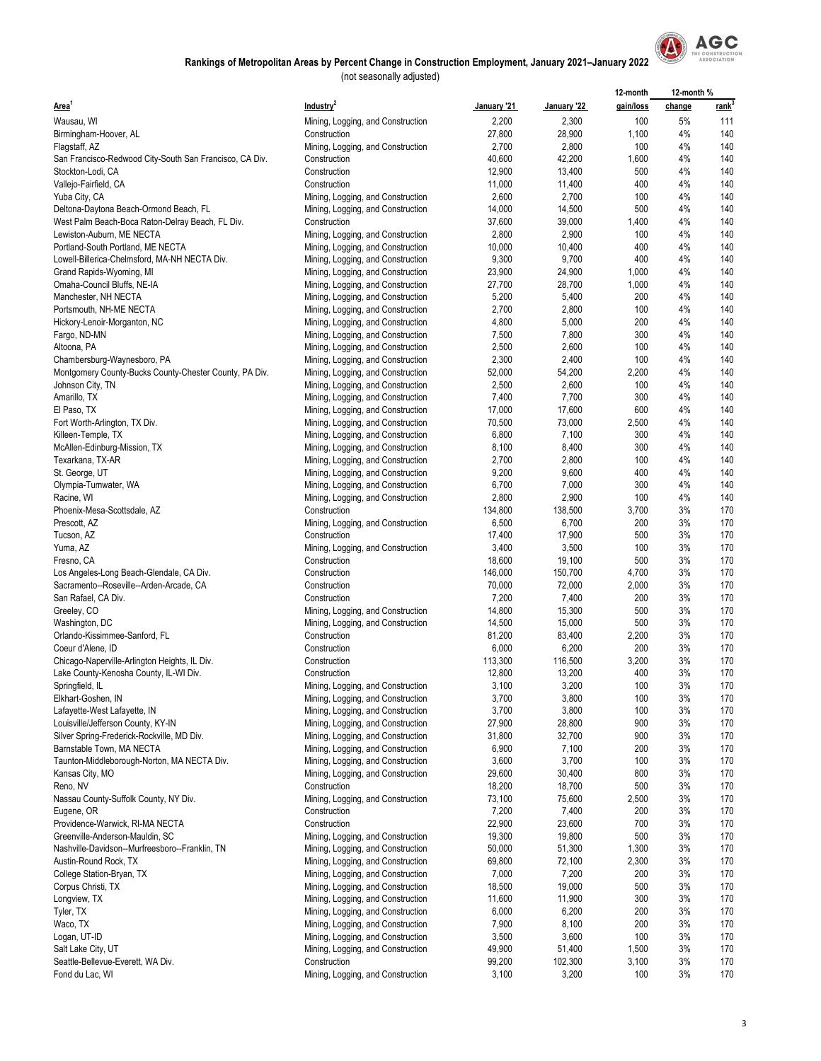

|                                                         |                                   |             |             | 12-month  | 12-month % |             |
|---------------------------------------------------------|-----------------------------------|-------------|-------------|-----------|------------|-------------|
| Area <sup>1</sup>                                       | Industry <sup>2</sup>             | January '21 | January '22 | gain/loss | change     | <u>rank</u> |
| Wausau, WI                                              | Mining, Logging, and Construction | 2,200       | 2,300       | 100       | 5%         | 111         |
| Birmingham-Hoover, AL                                   | Construction                      | 27,800      | 28,900      | 1,100     | 4%         | 140         |
| Flagstaff, AZ                                           | Mining, Logging, and Construction | 2,700       | 2,800       | 100       | 4%         | 140         |
| San Francisco-Redwood City-South San Francisco, CA Div. | Construction                      | 40,600      | 42,200      | 1,600     | 4%         | 140         |
| Stockton-Lodi, CA                                       | Construction                      | 12,900      | 13,400      | 500       | 4%         | 140         |
| Vallejo-Fairfield, CA                                   | Construction                      | 11,000      | 11,400      | 400       | 4%         | 140         |
| Yuba City, CA                                           | Mining, Logging, and Construction | 2,600       | 2,700       | 100       | 4%         | 140         |
|                                                         |                                   |             |             | 500       | 4%         | 140         |
| Deltona-Daytona Beach-Ormond Beach, FL                  | Mining, Logging, and Construction | 14,000      | 14,500      |           |            |             |
| West Palm Beach-Boca Raton-Delray Beach, FL Div.        | Construction                      | 37,600      | 39,000      | 1,400     | 4%         | 140         |
| Lewiston-Auburn, ME NECTA                               | Mining, Logging, and Construction | 2,800       | 2,900       | 100       | 4%         | 140         |
| Portland-South Portland, ME NECTA                       | Mining, Logging, and Construction | 10,000      | 10,400      | 400       | 4%         | 140         |
| Lowell-Billerica-Chelmsford, MA-NH NECTA Div.           | Mining, Logging, and Construction | 9,300       | 9,700       | 400       | 4%         | 140         |
| Grand Rapids-Wyoming, MI                                | Mining, Logging, and Construction | 23,900      | 24,900      | 1,000     | 4%         | 140         |
| Omaha-Council Bluffs, NE-IA                             | Mining, Logging, and Construction | 27,700      | 28,700      | 1,000     | 4%         | 140         |
| Manchester, NH NECTA                                    | Mining, Logging, and Construction | 5,200       | 5,400       | 200       | 4%         | 140         |
| Portsmouth, NH-ME NECTA                                 | Mining, Logging, and Construction | 2,700       | 2,800       | 100       | 4%         | 140         |
| Hickory-Lenoir-Morganton, NC                            | Mining, Logging, and Construction | 4,800       | 5,000       | 200       | 4%         | 140         |
| Fargo, ND-MN                                            | Mining, Logging, and Construction | 7,500       | 7,800       | 300       | 4%         | 140         |
| Altoona, PA                                             | Mining, Logging, and Construction | 2,500       | 2,600       | 100       | 4%         | 140         |
| Chambersburg-Waynesboro, PA                             | Mining, Logging, and Construction | 2,300       | 2,400       | 100       | 4%         | 140         |
| Montgomery County-Bucks County-Chester County, PA Div.  | Mining, Logging, and Construction | 52,000      | 54,200      | 2,200     | 4%         | 140         |
| Johnson City, TN                                        | Mining, Logging, and Construction | 2,500       | 2,600       | 100       | 4%         | 140         |
|                                                         |                                   |             |             | 300       | 4%         | 140         |
| Amarillo, TX                                            | Mining, Logging, and Construction | 7,400       | 7,700       |           |            |             |
| El Paso, TX                                             | Mining, Logging, and Construction | 17,000      | 17,600      | 600       | 4%         | 140         |
| Fort Worth-Arlington, TX Div.                           | Mining, Logging, and Construction | 70,500      | 73,000      | 2,500     | 4%         | 140         |
| Killeen-Temple, TX                                      | Mining, Logging, and Construction | 6,800       | 7,100       | 300       | 4%         | 140         |
| McAllen-Edinburg-Mission, TX                            | Mining, Logging, and Construction | 8,100       | 8,400       | 300       | 4%         | 140         |
| Texarkana, TX-AR                                        | Mining, Logging, and Construction | 2,700       | 2,800       | 100       | 4%         | 140         |
| St. George, UT                                          | Mining, Logging, and Construction | 9,200       | 9,600       | 400       | 4%         | 140         |
| Olympia-Tumwater, WA                                    | Mining, Logging, and Construction | 6,700       | 7,000       | 300       | 4%         | 140         |
| Racine, WI                                              | Mining, Logging, and Construction | 2,800       | 2,900       | 100       | 4%         | 140         |
| Phoenix-Mesa-Scottsdale, AZ                             | Construction                      | 134,800     | 138,500     | 3,700     | 3%         | 170         |
| Prescott, AZ                                            | Mining, Logging, and Construction | 6,500       | 6,700       | 200       | 3%         | 170         |
| Tucson, AZ                                              | Construction                      | 17,400      | 17,900      | 500       | 3%         | 170         |
| Yuma, AZ                                                | Mining, Logging, and Construction | 3,400       | 3,500       | 100       | 3%         | 170         |
| Fresno, CA                                              | Construction                      | 18,600      | 19,100      | 500       | 3%         | 170         |
| Los Angeles-Long Beach-Glendale, CA Div.                | Construction                      | 146,000     | 150,700     | 4,700     | 3%         | 170         |
| Sacramento--Roseville--Arden-Arcade, CA                 | Construction                      | 70,000      | 72,000      | 2,000     | 3%         | 170         |
|                                                         |                                   |             |             |           |            |             |
| San Rafael, CA Div.                                     | Construction                      | 7,200       | 7,400       | 200       | 3%         | 170         |
| Greeley, CO                                             | Mining, Logging, and Construction | 14,800      | 15,300      | 500       | 3%         | 170         |
| Washington, DC                                          | Mining, Logging, and Construction | 14,500      | 15,000      | 500       | 3%         | 170         |
| Orlando-Kissimmee-Sanford, FL                           | Construction                      | 81,200      | 83,400      | 2,200     | 3%         | 170         |
| Coeur d'Alene, ID                                       | Construction                      | 6,000       | 6,200       | 200       | 3%         | 170         |
| Chicago-Naperville-Arlington Heights, IL Div.           | Construction                      | 113,300     | 116,500     | 3,200     | 3%         | 170         |
| Lake County-Kenosha County, IL-WI Div.                  | Construction                      | 12,800      | 13,200      | 400       | 3%         | 170         |
| Springfield, IL                                         | Mining, Logging, and Construction | 3,100       | 3,200       | 100       | 3%         | 170         |
| Elkhart-Goshen, IN                                      | Mining, Logging, and Construction | 3,700       | 3,800       | 100       | 3%         | 170         |
| Lafayette-West Lafayette, IN                            | Mining, Logging, and Construction | 3,700       | 3,800       | 100       | 3%         | 170         |
| Louisville/Jefferson County, KY-IN                      | Mining, Logging, and Construction | 27,900      | 28,800      | 900       | 3%         | 170         |
| Silver Spring-Frederick-Rockville, MD Div.              | Mining, Logging, and Construction | 31,800      | 32,700      | 900       | 3%         | 170         |
| Barnstable Town, MA NECTA                               | Mining, Logging, and Construction | 6,900       | 7,100       | 200       | 3%         | 170         |
| Taunton-Middleborough-Norton, MA NECTA Div.             | Mining, Logging, and Construction | 3,600       | 3,700       | 100       | 3%         | 170         |
| Kansas City, MO                                         | Mining, Logging, and Construction | 29,600      | 30,400      | 800       | 3%         | 170         |
| Reno, NV                                                | Construction                      | 18,200      | 18,700      | 500       | 3%         | 170         |
|                                                         |                                   |             |             |           |            |             |
| Nassau County-Suffolk County, NY Div.                   | Mining, Logging, and Construction | 73,100      | 75,600      | 2,500     | 3%         | 170         |
| Eugene, OR                                              | Construction                      | 7,200       | 7,400       | 200       | 3%         | 170         |
| Providence-Warwick, RI-MA NECTA                         | Construction                      | 22,900      | 23,600      | 700       | 3%         | 170         |
| Greenville-Anderson-Mauldin, SC                         | Mining, Logging, and Construction | 19,300      | 19,800      | 500       | 3%         | 170         |
| Nashville-Davidson--Murfreesboro--Franklin, TN          | Mining, Logging, and Construction | 50,000      | 51,300      | 1,300     | 3%         | 170         |
| Austin-Round Rock, TX                                   | Mining, Logging, and Construction | 69,800      | 72,100      | 2,300     | 3%         | 170         |
| College Station-Bryan, TX                               | Mining, Logging, and Construction | 7,000       | 7,200       | 200       | 3%         | 170         |
| Corpus Christi, TX                                      | Mining, Logging, and Construction | 18,500      | 19,000      | 500       | 3%         | 170         |
| Longview, TX                                            | Mining, Logging, and Construction | 11,600      | 11,900      | 300       | 3%         | 170         |
| Tyler, TX                                               | Mining, Logging, and Construction | 6,000       | 6,200       | 200       | 3%         | 170         |
| Waco, TX                                                | Mining, Logging, and Construction | 7,900       | 8,100       | 200       | 3%         | 170         |
| Logan, UT-ID                                            | Mining, Logging, and Construction | 3,500       | 3,600       | 100       | 3%         | 170         |
| Salt Lake City, UT                                      | Mining, Logging, and Construction | 49,900      | 51,400      | 1,500     | 3%         | 170         |
| Seattle-Bellevue-Everett, WA Div.                       | Construction                      | 99,200      | 102,300     | 3,100     | 3%         | 170         |
| Fond du Lac, WI                                         | Mining, Logging, and Construction | 3,100       | 3,200       | 100       | 3%         | 170         |
|                                                         |                                   |             |             |           |            |             |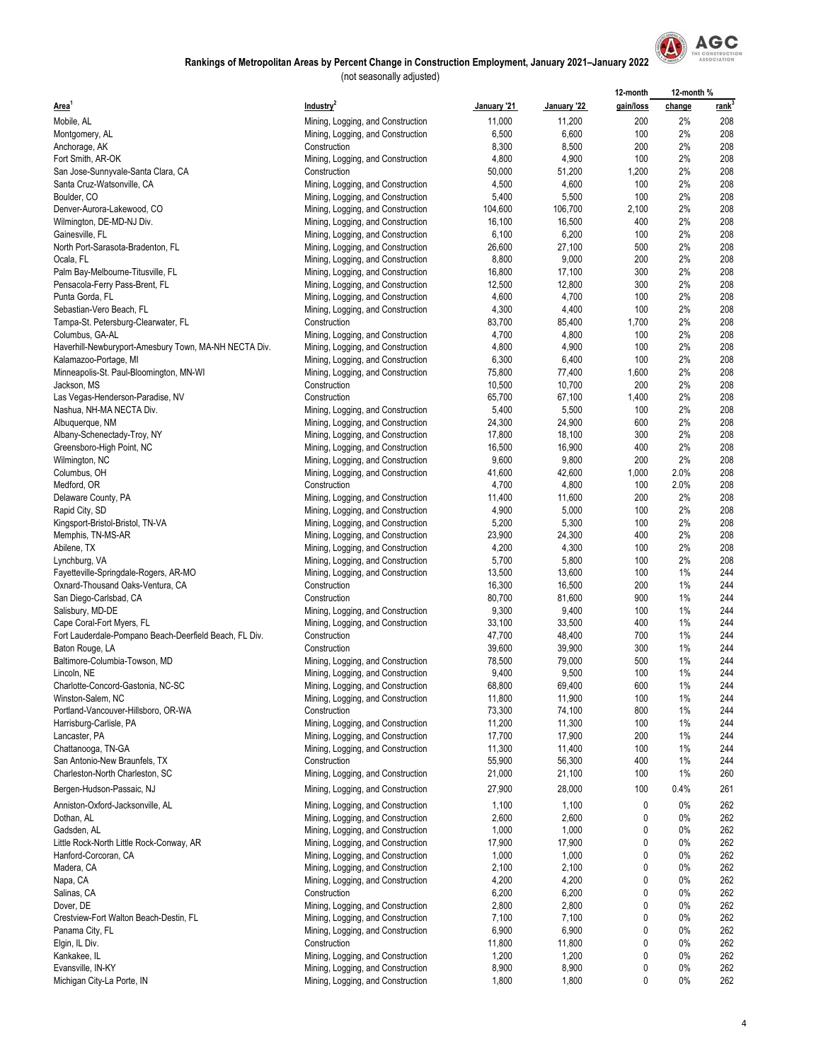

|                                                                                     |                                                                        |                  |                  | 12-month   | 12-month % |                   |
|-------------------------------------------------------------------------------------|------------------------------------------------------------------------|------------------|------------------|------------|------------|-------------------|
| Area <sup>1</sup>                                                                   | Industry <sup>2</sup>                                                  | January '21      | January '22      | gain/loss  | change     | rank <sup>3</sup> |
| Mobile, AL                                                                          | Mining, Logging, and Construction                                      | 11,000           | 11,200           | 200        | 2%         | 208               |
| Montgomery, AL                                                                      | Mining, Logging, and Construction                                      | 6,500            | 6,600            | 100        | 2%         | 208               |
| Anchorage, AK                                                                       | Construction                                                           | 8,300            | 8,500            | 200        | 2%         | 208               |
| Fort Smith, AR-OK                                                                   | Mining, Logging, and Construction                                      | 4,800            | 4,900            | 100        | 2%         | 208               |
| San Jose-Sunnyvale-Santa Clara, CA                                                  | Construction                                                           | 50,000           | 51,200           | 1,200      | 2%         | 208               |
| Santa Cruz-Watsonville, CA                                                          | Mining, Logging, and Construction                                      | 4,500            | 4,600            | 100<br>100 | 2%<br>2%   | 208<br>208        |
| Boulder, CO<br>Denver-Aurora-Lakewood, CO                                           | Mining, Logging, and Construction<br>Mining, Logging, and Construction | 5,400<br>104,600 | 5,500<br>106,700 | 2,100      | 2%         | 208               |
| Wilmington, DE-MD-NJ Div.                                                           | Mining, Logging, and Construction                                      | 16,100           | 16,500           | 400        | 2%         | 208               |
| Gainesville, FL                                                                     | Mining, Logging, and Construction                                      | 6,100            | 6,200            | 100        | 2%         | 208               |
| North Port-Sarasota-Bradenton, FL                                                   | Mining, Logging, and Construction                                      | 26,600           | 27,100           | 500        | 2%         | 208               |
| Ocala, FL                                                                           | Mining, Logging, and Construction                                      | 8,800            | 9,000            | 200        | 2%         | 208               |
| Palm Bay-Melbourne-Titusville, FL                                                   | Mining, Logging, and Construction                                      | 16,800           | 17,100           | 300        | 2%         | 208               |
| Pensacola-Ferry Pass-Brent, FL                                                      | Mining, Logging, and Construction                                      | 12,500           | 12,800           | 300        | 2%         | 208               |
| Punta Gorda, FL                                                                     | Mining, Logging, and Construction                                      | 4,600            | 4,700            | 100        | 2%         | 208               |
| Sebastian-Vero Beach, FL                                                            | Mining, Logging, and Construction                                      | 4,300            | 4,400            | 100        | 2%         | 208               |
| Tampa-St. Petersburg-Clearwater, FL                                                 | Construction                                                           | 83,700           | 85,400           | 1,700      | 2%         | 208               |
| Columbus, GA-AL                                                                     | Mining, Logging, and Construction<br>Mining, Logging, and Construction | 4,700<br>4,800   | 4,800<br>4,900   | 100<br>100 | 2%<br>2%   | 208<br>208        |
| Haverhill-Newburyport-Amesbury Town, MA-NH NECTA Div.<br>Kalamazoo-Portage, MI      | Mining, Logging, and Construction                                      | 6,300            | 6,400            | 100        | 2%         | 208               |
| Minneapolis-St. Paul-Bloomington, MN-WI                                             | Mining, Logging, and Construction                                      | 75,800           | 77,400           | 1,600      | 2%         | 208               |
| Jackson, MS                                                                         | Construction                                                           | 10,500           | 10,700           | 200        | 2%         | 208               |
| Las Vegas-Henderson-Paradise, NV                                                    | Construction                                                           | 65,700           | 67,100           | 1,400      | 2%         | 208               |
| Nashua, NH-MA NECTA Div.                                                            | Mining, Logging, and Construction                                      | 5,400            | 5,500            | 100        | 2%         | 208               |
| Albuquerque, NM                                                                     | Mining, Logging, and Construction                                      | 24,300           | 24,900           | 600        | 2%         | 208               |
| Albany-Schenectady-Troy, NY                                                         | Mining, Logging, and Construction                                      | 17,800           | 18,100           | 300        | 2%         | 208               |
| Greensboro-High Point, NC                                                           | Mining, Logging, and Construction                                      | 16,500           | 16,900           | 400        | 2%         | 208               |
| Wilmington, NC                                                                      | Mining, Logging, and Construction                                      | 9,600            | 9,800            | 200        | 2%         | 208               |
| Columbus, OH                                                                        | Mining, Logging, and Construction                                      | 41,600           | 42,600           | 1,000      | 2.0%       | 208               |
| Medford, OR<br>Delaware County, PA                                                  | Construction<br>Mining, Logging, and Construction                      | 4,700<br>11,400  | 4,800<br>11,600  | 100<br>200 | 2.0%<br>2% | 208<br>208        |
| Rapid City, SD                                                                      | Mining, Logging, and Construction                                      | 4,900            | 5,000            | 100        | 2%         | 208               |
| Kingsport-Bristol-Bristol, TN-VA                                                    | Mining, Logging, and Construction                                      | 5,200            | 5,300            | 100        | 2%         | 208               |
| Memphis, TN-MS-AR                                                                   | Mining, Logging, and Construction                                      | 23,900           | 24,300           | 400        | 2%         | 208               |
| Abilene, TX                                                                         | Mining, Logging, and Construction                                      | 4,200            | 4,300            | 100        | 2%         | 208               |
| Lynchburg, VA                                                                       | Mining, Logging, and Construction                                      | 5,700            | 5,800            | 100        | 2%         | 208               |
| Fayetteville-Springdale-Rogers, AR-MO                                               | Mining, Logging, and Construction                                      | 13,500           | 13,600           | 100        | 1%         | 244               |
| Oxnard-Thousand Oaks-Ventura, CA                                                    | Construction                                                           | 16,300           | 16,500           | 200        | 1%         | 244               |
| San Diego-Carlsbad, CA                                                              | Construction                                                           | 80,700           | 81,600           | 900        | 1%         | 244               |
| Salisbury, MD-DE                                                                    | Mining, Logging, and Construction                                      | 9,300            | 9,400            | 100        | 1%         | 244               |
| Cape Coral-Fort Myers, FL<br>Fort Lauderdale-Pompano Beach-Deerfield Beach, FL Div. | Mining, Logging, and Construction<br>Construction                      | 33,100<br>47,700 | 33,500<br>48,400 | 400<br>700 | 1%<br>1%   | 244<br>244        |
| Baton Rouge, LA                                                                     | Construction                                                           | 39,600           | 39,900           | 300        | 1%         | 244               |
| Baltimore-Columbia-Towson, MD                                                       | Mining, Logging, and Construction                                      | 78,500           | 79,000           | 500        | 1%         | 244               |
| Lincoln, NE                                                                         | Mining, Logging, and Construction                                      | 9,400            | 9,500            | 100        | 1%         | 244               |
| Charlotte-Concord-Gastonia, NC-SC                                                   | Mining, Logging, and Construction                                      | 68,800           | 69,400           | 600        | $1\%$      | 244               |
| Winston-Salem, NC                                                                   | Mining, Logging, and Construction                                      | 11,800           | 11,900           | 100        | $1\%$      | 244               |
| Portland-Vancouver-Hillsboro, OR-WA                                                 | Construction                                                           | 73,300           | 74,100           | 800        | 1%         | 244               |
| Harrisburg-Carlisle, PA                                                             | Mining, Logging, and Construction                                      | 11,200           | 11,300           | 100        | 1%         | 244               |
| Lancaster, PA                                                                       | Mining, Logging, and Construction                                      | 17,700           | 17,900           | 200        | 1%         | 244               |
| Chattanooga, TN-GA                                                                  | Mining, Logging, and Construction<br>Construction                      | 11,300           | 11,400<br>56,300 | 100        | 1%<br>1%   | 244<br>244        |
| San Antonio-New Braunfels, TX<br>Charleston-North Charleston, SC                    | Mining, Logging, and Construction                                      | 55,900<br>21,000 | 21,100           | 400<br>100 | 1%         | 260               |
| Bergen-Hudson-Passaic, NJ                                                           | Mining, Logging, and Construction                                      | 27,900           | 28,000           | 100        | 0.4%       | 261               |
|                                                                                     |                                                                        |                  |                  |            |            |                   |
| Anniston-Oxford-Jacksonville, AL                                                    | Mining, Logging, and Construction                                      | 1,100            | 1,100            | 0          | $0\%$      | 262               |
| Dothan, AL<br>Gadsden, AL                                                           | Mining, Logging, and Construction                                      | 2,600<br>1,000   | 2,600<br>1,000   | 0<br>0     | 0%<br>0%   | 262<br>262        |
| Little Rock-North Little Rock-Conway, AR                                            | Mining, Logging, and Construction<br>Mining, Logging, and Construction | 17,900           | 17,900           | 0          | 0%         | 262               |
| Hanford-Corcoran, CA                                                                | Mining, Logging, and Construction                                      | 1,000            | 1,000            | 0          | 0%         | 262               |
| Madera, CA                                                                          | Mining, Logging, and Construction                                      | 2,100            | 2,100            | 0          | 0%         | 262               |
| Napa, CA                                                                            | Mining, Logging, and Construction                                      | 4,200            | 4,200            | 0          | 0%         | 262               |
| Salinas, CA                                                                         | Construction                                                           | 6,200            | 6,200            | 0          | $0\%$      | 262               |
| Dover, DE                                                                           | Mining, Logging, and Construction                                      | 2,800            | 2,800            | 0          | 0%         | 262               |
| Crestview-Fort Walton Beach-Destin, FL                                              | Mining, Logging, and Construction                                      | 7,100            | 7,100            | 0          | 0%         | 262               |
| Panama City, FL                                                                     | Mining, Logging, and Construction                                      | 6,900            | 6,900            | 0          | 0%         | 262               |
| Elgin, IL Div.                                                                      | Construction                                                           | 11,800           | 11,800           | 0          | 0%         | 262               |
| Kankakee, IL                                                                        | Mining, Logging, and Construction                                      | 1,200            | 1,200            | 0          | 0%         | 262               |
| Evansville, IN-KY<br>Michigan City-La Porte, IN                                     | Mining, Logging, and Construction<br>Mining, Logging, and Construction | 8,900<br>1,800   | 8,900<br>1,800   | 0<br>0     | 0%<br>0%   | 262<br>262        |
|                                                                                     |                                                                        |                  |                  |            |            |                   |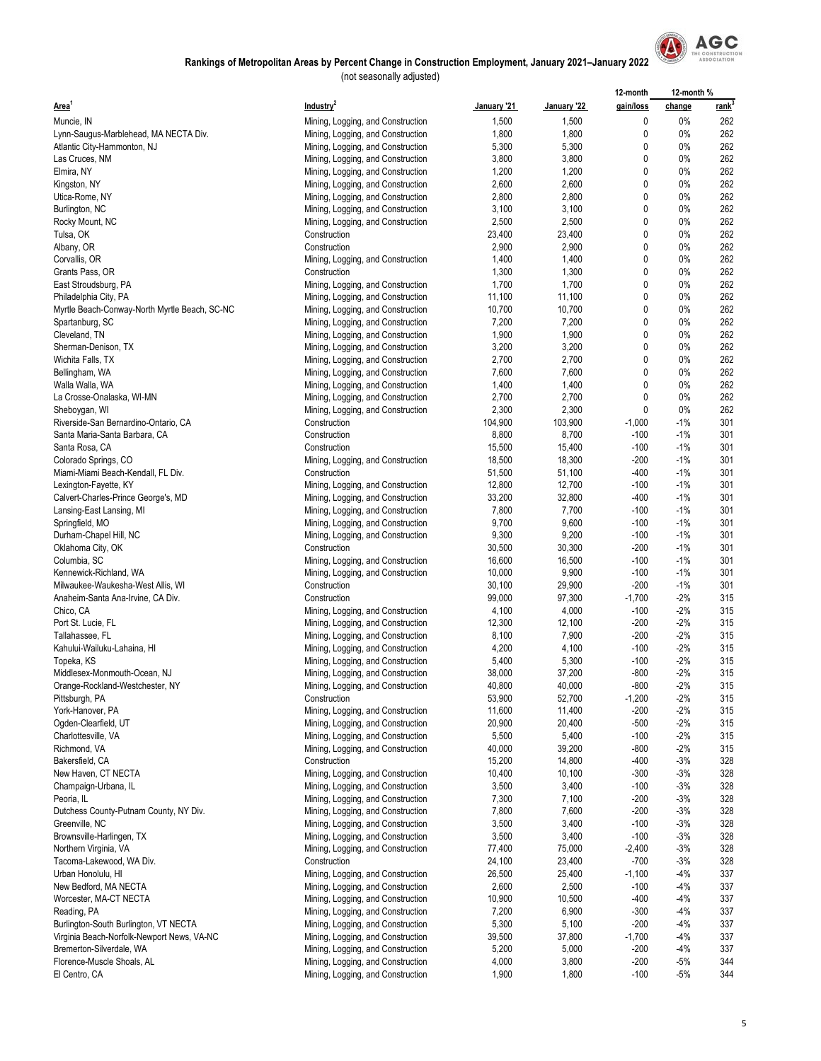

|                                                                 |                                                                        |                  |                  | 12-month           | 12-month %     |                   |
|-----------------------------------------------------------------|------------------------------------------------------------------------|------------------|------------------|--------------------|----------------|-------------------|
| Area <sup>1</sup>                                               | Industry <sup>2</sup>                                                  | January '21      | January '22      | gain/loss          | change         | rank <sup>3</sup> |
| Muncie, IN                                                      | Mining, Logging, and Construction                                      | 1,500            | 1,500            | 0                  | $0\%$          | 262               |
| Lynn-Saugus-Marblehead, MA NECTA Div.                           | Mining, Logging, and Construction                                      | 1,800            | 1,800            | 0                  | $0\%$          | 262               |
| Atlantic City-Hammonton, NJ                                     | Mining, Logging, and Construction                                      | 5,300            | 5,300            | 0                  | 0%             | 262               |
| Las Cruces, NM                                                  | Mining, Logging, and Construction                                      | 3,800            | 3,800            | 0                  | 0%             | 262               |
| Elmira, NY                                                      | Mining, Logging, and Construction                                      | 1,200            | 1,200            | 0                  | 0%             | 262               |
| Kingston, NY                                                    | Mining, Logging, and Construction                                      | 2,600            | 2,600            | 0                  | $0\%$          | 262               |
| Utica-Rome, NY                                                  | Mining, Logging, and Construction                                      | 2,800            | 2,800            | 0                  | 0%             | 262               |
| Burlington, NC                                                  | Mining, Logging, and Construction                                      | 3,100            | 3,100            | 0                  | 0%             | 262               |
| Rocky Mount, NC<br>Tulsa, OK                                    | Mining, Logging, and Construction<br>Construction                      | 2,500<br>23,400  | 2,500<br>23,400  | 0<br>0             | 0%<br>0%       | 262<br>262        |
| Albany, OR                                                      | Construction                                                           | 2,900            | 2,900            | 0                  | $0\%$          | 262               |
| Corvallis, OR                                                   | Mining, Logging, and Construction                                      | 1,400            | 1,400            | 0                  | 0%             | 262               |
| Grants Pass, OR                                                 | Construction                                                           | 1,300            | 1,300            | 0                  | 0%             | 262               |
| East Stroudsburg, PA                                            | Mining, Logging, and Construction                                      | 1,700            | 1,700            | 0                  | 0%             | 262               |
| Philadelphia City, PA                                           | Mining, Logging, and Construction                                      | 11,100           | 11,100           | 0                  | $0\%$          | 262               |
| Myrtle Beach-Conway-North Myrtle Beach, SC-NC                   | Mining, Logging, and Construction                                      | 10,700           | 10,700           | 0                  | 0%             | 262               |
| Spartanburg, SC                                                 | Mining, Logging, and Construction                                      | 7,200            | 7,200            | 0                  | 0%             | 262               |
| Cleveland, TN                                                   | Mining, Logging, and Construction                                      | 1,900            | 1,900            | 0                  | 0%             | 262               |
| Sherman-Denison, TX                                             | Mining, Logging, and Construction                                      | 3,200            | 3,200            | 0                  | 0%             | 262               |
| Wichita Falls, TX                                               | Mining, Logging, and Construction                                      | 2,700            | 2,700            | $\mathbf{0}$       | 0%             | 262               |
| Bellingham, WA                                                  | Mining, Logging, and Construction                                      | 7,600            | 7,600            | 0                  | 0%             | 262               |
| Walla Walla, WA                                                 | Mining, Logging, and Construction                                      | 1,400            | 1,400            | 0                  | 0%             | 262               |
| La Crosse-Onalaska, WI-MN                                       | Mining, Logging, and Construction                                      | 2,700            | 2,700            | 0                  | 0%             | 262               |
| Sheboygan, WI                                                   | Mining, Logging, and Construction                                      | 2,300            | 2,300            | 0                  | 0%             | 262               |
| Riverside-San Bernardino-Ontario, CA                            | Construction                                                           | 104,900          | 103,900          | $-1,000$           | $-1%$          | 301               |
| Santa Maria-Santa Barbara, CA                                   | Construction                                                           | 8,800            | 8,700            | $-100$             | $-1%$          | 301               |
| Santa Rosa, CA                                                  | Construction<br>Mining, Logging, and Construction                      | 15,500<br>18,500 | 15,400<br>18,300 | $-100$<br>$-200$   | $-1%$<br>$-1%$ | 301<br>301        |
| Colorado Springs, CO<br>Miami-Miami Beach-Kendall, FL Div.      | Construction                                                           | 51,500           | 51,100           | -400               | $-1%$          | 301               |
| Lexington-Fayette, KY                                           | Mining, Logging, and Construction                                      | 12,800           | 12,700           | $-100$             | $-1%$          | 301               |
| Calvert-Charles-Prince George's, MD                             | Mining, Logging, and Construction                                      | 33,200           | 32,800           | $-400$             | $-1%$          | 301               |
| Lansing-East Lansing, MI                                        | Mining, Logging, and Construction                                      | 7,800            | 7,700            | $-100$             | $-1%$          | 301               |
| Springfield, MO                                                 | Mining, Logging, and Construction                                      | 9,700            | 9,600            | $-100$             | $-1%$          | 301               |
| Durham-Chapel Hill, NC                                          | Mining, Logging, and Construction                                      | 9,300            | 9,200            | $-100$             | $-1%$          | 301               |
| Oklahoma City, OK                                               | Construction                                                           | 30,500           | 30,300           | $-200$             | $-1%$          | 301               |
| Columbia, SC                                                    | Mining, Logging, and Construction                                      | 16,600           | 16,500           | $-100$             | $-1%$          | 301               |
| Kennewick-Richland, WA                                          | Mining, Logging, and Construction                                      | 10,000           | 9,900            | $-100$             | $-1%$          | 301               |
| Milwaukee-Waukesha-West Allis, WI                               | Construction                                                           | 30,100           | 29,900           | $-200$             | $-1%$          | 301               |
| Anaheim-Santa Ana-Irvine, CA Div.                               | Construction                                                           | 99,000           | 97,300           | $-1,700$           | $-2%$          | 315               |
| Chico, CA                                                       | Mining, Logging, and Construction                                      | 4,100            | 4,000            | $-100$             | $-2%$          | 315               |
| Port St. Lucie, FL                                              | Mining, Logging, and Construction                                      | 12,300           | 12,100           | $-200$             | $-2%$          | 315               |
| Tallahassee, FL                                                 | Mining, Logging, and Construction                                      | 8,100            | 7,900            | $-200$             | $-2%$          | 315               |
| Kahului-Wailuku-Lahaina, HI                                     | Mining, Logging, and Construction                                      | 4,200            | 4,100            | $-100$             | $-2%$          | 315               |
| Topeka, KS                                                      | Mining, Logging, and Construction<br>Mining, Logging, and Construction | 5,400<br>38,000  | 5,300<br>37,200  | $-100$<br>$-800$   | $-2%$<br>$-2%$ | 315<br>315        |
| Middlesex-Monmouth-Ocean, NJ<br>Orange-Rockland-Westchester, NY | Mining, Logging, and Construction                                      | 40,800           | 40,000           | $-800$             | $-2%$          | 315               |
| Pittsburgh, PA                                                  | Construction                                                           | 53,900           | 52,700           | $-1,200$           | $-2%$          | 315               |
| York-Hanover, PA                                                | Mining, Logging, and Construction                                      | 11,600           | 11,400           | $-200$             | $-2\%$         | 315               |
| Ogden-Clearfield, UT                                            | Mining, Logging, and Construction                                      | 20,900           | 20,400           | $-500$             | $-2%$          | 315               |
| Charlottesville, VA                                             | Mining, Logging, and Construction                                      | 5,500            | 5,400            | $-100$             | $-2%$          | 315               |
| Richmond, VA                                                    | Mining, Logging, and Construction                                      | 40,000           | 39,200           | $-800$             | $-2%$          | 315               |
| Bakersfield, CA                                                 | Construction                                                           | 15,200           | 14,800           | -400               | $-3%$          | 328               |
| New Haven, CT NECTA                                             | Mining, Logging, and Construction                                      | 10,400           | 10,100           | $-300$             | $-3%$          | 328               |
| Champaign-Urbana, IL                                            | Mining, Logging, and Construction                                      | 3,500            | 3,400            | $-100$             | $-3%$          | 328               |
| Peoria, IL                                                      | Mining, Logging, and Construction                                      | 7,300            | 7,100            | $-200$             | $-3%$          | 328               |
| Dutchess County-Putnam County, NY Div.                          | Mining, Logging, and Construction                                      | 7,800            | 7,600            | $-200$             | $-3%$          | 328               |
| Greenville, NC                                                  | Mining, Logging, and Construction                                      | 3,500            | 3,400            | $-100$             | $-3%$          | 328               |
| Brownsville-Harlingen, TX                                       | Mining, Logging, and Construction                                      | 3,500            | 3,400            | $-100$             | $-3%$          | 328               |
| Northern Virginia, VA                                           | Mining, Logging, and Construction                                      | 77,400           | 75,000           | -2,400             | $-3%$          | 328               |
| Tacoma-Lakewood, WA Div.                                        | Construction                                                           | 24,100           | 23,400           | $-700$             | $-3%$          | 328               |
| Urban Honolulu, HI<br>New Bedford, MA NECTA                     | Mining, Logging, and Construction<br>Mining, Logging, and Construction | 26,500<br>2,600  | 25,400<br>2,500  | $-1,100$<br>$-100$ | $-4%$<br>$-4%$ | 337<br>337        |
| Worcester, MA-CT NECTA                                          | Mining, Logging, and Construction                                      | 10,900           | 10,500           | -400               | $-4%$          | 337               |
| Reading, PA                                                     | Mining, Logging, and Construction                                      | 7,200            | 6,900            | $-300$             | $-4%$          | 337               |
| Burlington-South Burlington, VT NECTA                           | Mining, Logging, and Construction                                      | 5,300            | 5,100            | $-200$             | $-4%$          | 337               |
| Virginia Beach-Norfolk-Newport News, VA-NC                      | Mining, Logging, and Construction                                      | 39,500           | 37,800           | $-1,700$           | $-4%$          | 337               |
| Bremerton-Silverdale, WA                                        | Mining, Logging, and Construction                                      | 5,200            | 5,000            | $-200$             | $-4%$          | 337               |
| Florence-Muscle Shoals, AL                                      | Mining, Logging, and Construction                                      | 4,000            | 3,800            | $-200$             | $-5%$          | 344               |
| El Centro, CA                                                   | Mining, Logging, and Construction                                      | 1,900            | 1,800            | $-100$             | $-5%$          | 344               |